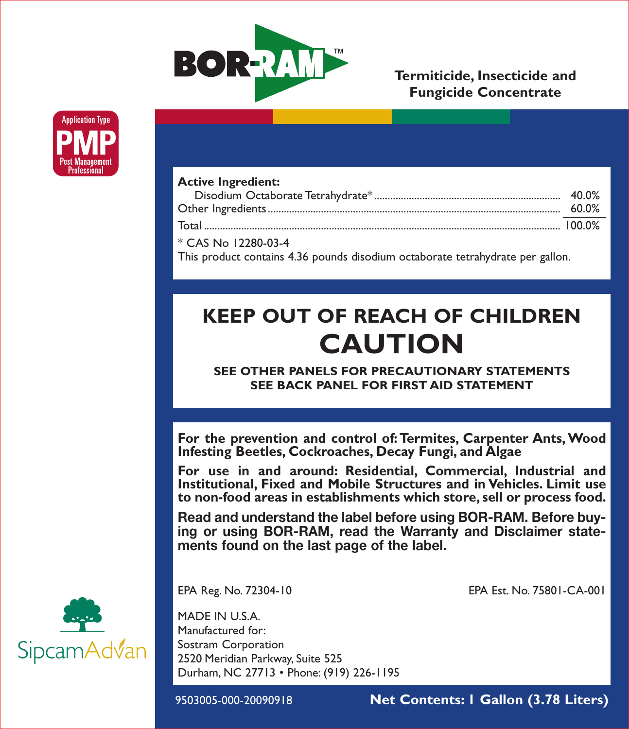

# **Termiticide, Insecticide and Fungicide Concentrate**



| <b>Active Ingredient:</b>                                                      |       |  |
|--------------------------------------------------------------------------------|-------|--|
|                                                                                | 40.0% |  |
|                                                                                | 60.0% |  |
|                                                                                |       |  |
| * CAS No 12280-03-4                                                            |       |  |
| This product contains 4.36 pounds disodium octaborate tetrahydrate per gallon. |       |  |

# **KEEP OUT OF REACH OF CHILDREN CAUTION**

**SEE OTHER PANELS FOR PRECAUTIONARY STATEMENTS SEE BACK PANEL FOR FIRST AID STATEMENT**

**For the prevention and control of: Termites, Carpenter Ants, Wood Infesting Beetles, Cockroaches, Decay Fungi, and Algae**

**For use in and around: Residential, Commercial, Industrial and Institutional, Fixed and Mobile Structures and in Vehicles. Limit use to non-food areas in establishments which store, sell or process food.** 

**Read and understand the label before using BOR-RAM. Before buying or using BOR-RAM, read the Warranty and Disclaimer statements found on the last page of the label.**

EPA Reg. No. 72304-10 EPA Est. No. 75801-CA-001

MADE IN U.S.A. Manufactured for: Sostram Corporation 2520 Meridian Parkway, Suite 525 Durham, NC 27713 • Phone: (919) 226-1195

9503005-000-20090918 **Net Contents: 1 Gallon (3.78 Liters)**

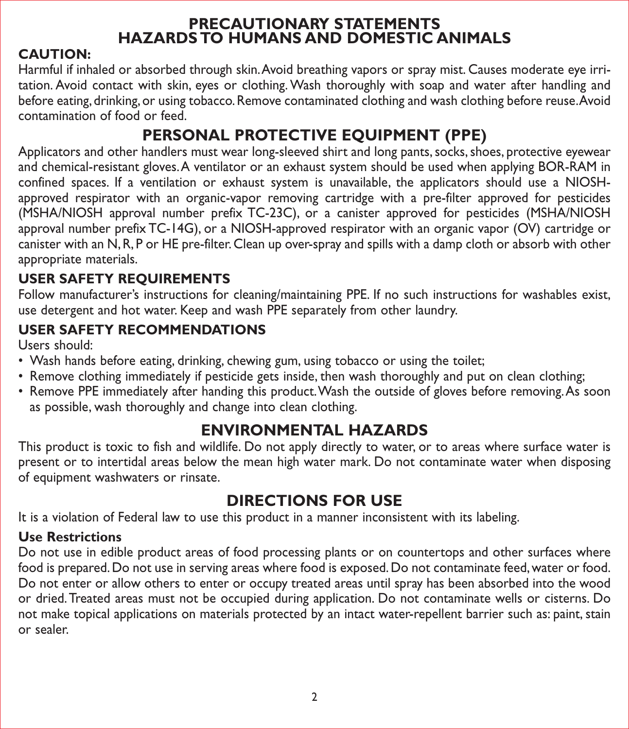# **PRECAUTIONARY STATEMENTS HAZARDS TO HUMANS AND DOMESTIC ANIMALS**

# **CAUTION:**

Harmful if inhaled or absorbed through skin. Avoid breathing vapors or spray mist. Causes moderate eye irritation. Avoid contact with skin, eyes or clothing. Wash thoroughly with soap and water after handling and before eating, drinking, or using tobacco. Remove contaminated clothing and wash clothing before reuse. Avoid contamination of food or feed.

# **PERSONAL PROTECTIVE EQUIPMENT (PPE)**

Applicators and other handlers must wear long-sleeved shirt and long pants, socks, shoes, protective eyewear and chemical-resistant gloves. A ventilator or an exhaust system should be used when applying BOR-RAM in confined spaces. If a ventilation or exhaust system is unavailable, the applicators should use a NIOSHapproved respirator with an organic-vapor removing cartridge with a pre-filter approved for pesticides (MSHA/NIOSH approval number prefix TC-23C), or a canister approved for pesticides (MSHA/NIOSH approval number prefix TC-14G), or a NIOSH-approved respirator with an organic vapor (OV) cartridge or canister with an N, R, P or HE pre-filter. Clean up over-spray and spills with a damp cloth or absorb with other appropriate materials.

# **USER SAFETY REQUIREMENTS**

Follow manufacturer's instructions for cleaning/maintaining PPE. If no such instructions for washables exist, use detergent and hot water. Keep and wash PPE separately from other laundry.

# **USER SAFETY RECOMMENDATIONS**

Users should:

- Wash hands before eating, drinking, chewing gum, using tobacco or using the toilet;
- Remove clothing immediately if pesticide gets inside, then wash thoroughly and put on clean clothing;
- Remove PPE immediately after handing this product. Wash the outside of gloves before removing. As soon as possible, wash thoroughly and change into clean clothing.

# **ENVIRONMENTAL HAZARDS**

This product is toxic to fish and wildlife. Do not apply directly to water, or to areas where surface water is present or to intertidal areas below the mean high water mark. Do not contaminate water when disposing of equipment washwaters or rinsate.

# **DIRECTIONS FOR USE**

It is a violation of Federal law to use this product in a manner inconsistent with its labeling.

# **Use Restrictions**

Do not use in edible product areas of food processing plants or on countertops and other surfaces where food is prepared. Do not use in serving areas where food is exposed. Do not contaminate feed, water or food. Do not enter or allow others to enter or occupy treated areas until spray has been absorbed into the wood or dried. Treated areas must not be occupied during application. Do not contaminate wells or cisterns. Do not make topical applications on materials protected by an intact water-repellent barrier such as: paint, stain or sealer.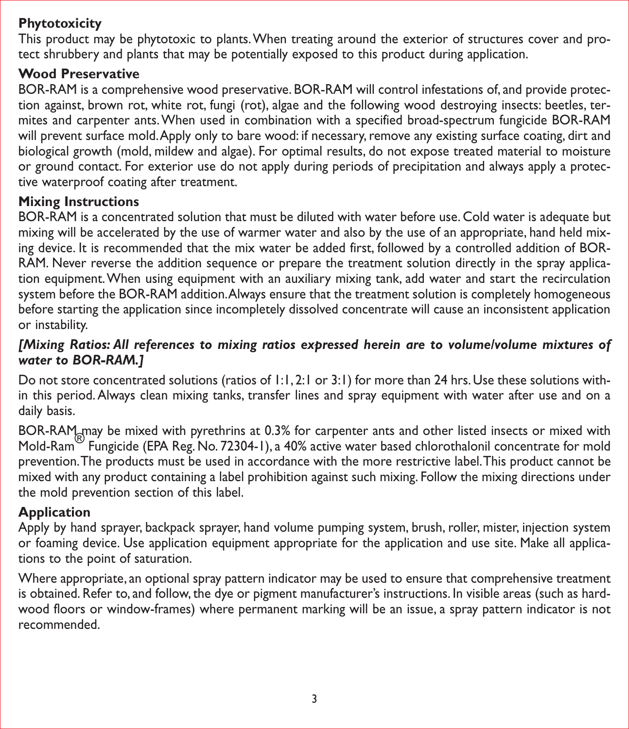#### **Phytotoxicity**

This product may be phytotoxic to plants. When treating around the exterior of structures cover and protect shrubbery and plants that may be potentially exposed to this product during application.

# **Wood Preservative**

BOR-RAM is a comprehensive wood preservative. BOR-RAM will control infestations of, and provide protection against, brown rot, white rot, fungi (rot), algae and the following wood destroying insects: beetles, termites and carpenter ants. When used in combination with a specified broad-spectrum fungicide BOR-RAM will prevent surface mold. Apply only to bare wood: if necessary, remove any existing surface coating, dirt and biological growth (mold, mildew and algae). For optimal results, do not expose treated material to moisture or ground contact. For exterior use do not apply during periods of precipitation and always apply a protective waterproof coating after treatment.

#### **Mixing Instructions**

BOR-RAM is a concentrated solution that must be diluted with water before use. Cold water is adequate but mixing will be accelerated by the use of warmer water and also by the use of an appropriate, hand held mixing device. It is recommended that the mix water be added first, followed by a controlled addition of BOR-RAM. Never reverse the addition sequence or prepare the treatment solution directly in the spray application equipment. When using equipment with an auxiliary mixing tank, add water and start the recirculation system before the BOR-RAM addition. Always ensure that the treatment solution is completely homogeneous before starting the application since incompletely dissolved concentrate will cause an inconsistent application or instability.

# *[Mixing Ratios: All references to mixing ratios expressed herein are to volume/volume mixtures of water to BOR-RAM.]*

Do not store concentrated solutions (ratios of 1:1, 2:1 or 3:1) for more than 24 hrs. Use these solutions within this period. Always clean mixing tanks, transfer lines and spray equipment with water after use and on a daily basis.

BOR-RAM may be mixed with pyrethrins at 0.3% for carpenter ants and other listed insects or mixed with Mold-Ram® Fungicide (EPA Reg. No. 72304-1), a 40% active water based chlorothalonil concentrate for mold prevention. The products must be used in accordance with the more restrictive label. This product cannot be mixed with any product containing a label prohibition against such mixing. Follow the mixing directions under the mold prevention section of this label.

# **Application**

Apply by hand sprayer, backpack sprayer, hand volume pumping system, brush, roller, mister, injection system or foaming device. Use application equipment appropriate for the application and use site. Make all applications to the point of saturation.

Where appropriate, an optional spray pattern indicator may be used to ensure that comprehensive treatment is obtained. Refer to, and follow, the dye or pigment manufacturer's instructions. In visible areas (such as hardwood floors or window-frames) where permanent marking will be an issue, a spray pattern indicator is not recommended.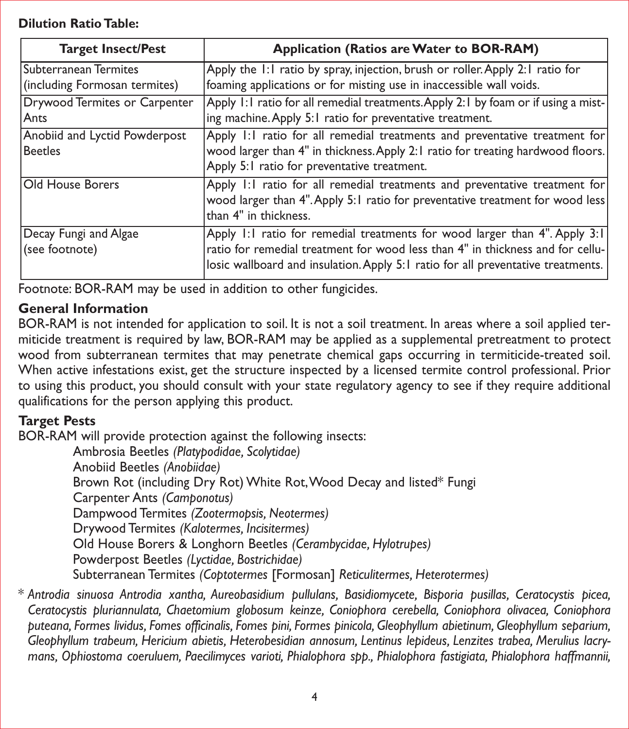#### **Dilution Ratio Table:**

| <b>Target Insect/Pest</b>                                     | Application (Ratios are Water to BOR-RAM)                                                                                                                                                                                                        |
|---------------------------------------------------------------|--------------------------------------------------------------------------------------------------------------------------------------------------------------------------------------------------------------------------------------------------|
| <b>Subterranean Termites</b><br>(including Formosan termites) | Apply the 1:1 ratio by spray, injection, brush or roller. Apply 2:1 ratio for<br>foaming applications or for misting use in inaccessible wall voids.                                                                                             |
| Drywood Termites or Carpenter<br>Ants                         | Apply 1:1 ratio for all remedial treatments. Apply 2:1 by foam or if using a mist-<br>ing machine. Apply 5:1 ratio for preventative treatment.                                                                                                   |
| Anobiid and Lyctid Powderpost<br><b>Beetles</b>               | Apply 1:1 ratio for all remedial treatments and preventative treatment for<br>wood larger than 4" in thickness. Apply 2:1 ratio for treating hardwood floors.<br>Apply 5:1 ratio for preventative treatment.                                     |
| Old House Borers                                              | Apply 1:1 ratio for all remedial treatments and preventative treatment for<br>wood larger than 4". Apply 5:1 ratio for preventative treatment for wood less<br>than 4" in thickness.                                                             |
| Decay Fungi and Algae<br>(see footnote)                       | Apply 1:1 ratio for remedial treatments for wood larger than 4". Apply 3:1<br>ratio for remedial treatment for wood less than 4" in thickness and for cellu-<br>losic wallboard and insulation. Apply 5:1 ratio for all preventative treatments. |

Footnote: BOR-RAM may be used in addition to other fungicides.

# **General Information**

BOR-RAM is not intended for application to soil. It is not a soil treatment. In areas where a soil applied termiticide treatment is required by law, BOR-RAM may be applied as a supplemental pretreatment to protect wood from subterranean termites that may penetrate chemical gaps occurring in termiticide-treated soil. When active infestations exist, get the structure inspected by a licensed termite control professional. Prior to using this product, you should consult with your state regulatory agency to see if they require additional qualifications for the person applying this product.

# **Target Pests**

BOR-RAM will provide protection against the following insects:

Ambrosia Beetles *(Platypodidae, Scolytidae)* Anobiid Beetles *(Anobiidae)* Brown Rot (including Dry Rot) White Rot, Wood Decay and listed\* Fungi Carpenter Ants *(Camponotus)* Dampwood Termites *(Zootermopsis, Neotermes)* Drywood Termites *(Kalotermes, Incisitermes)* Old House Borers & Longhorn Beetles *(Cerambycidae, Hylotrupes)* Powderpost Beetles *(Lyctidae, Bostrichidae)* Subterranean Termites *(Coptotermes* [Formosan] *Reticulitermes, Heterotermes)*

\* *Antrodia sinuosa Antrodia xantha, Aureobasidium pullulans, Basidiomycete, Bisporia pusillas, Ceratocystis picea, Ceratocystis pluriannulata, Chaetomium globosum keinze, Coniophora cerebella, Coniophora olivacea, Coniophora puteana, Formes lividus, Fomes officinalis, Fomes pini, Formes pinicola, Gleophyllum abietinum, Gleophyllum separium, Gleophyllum trabeum, Hericium abietis, Heterobesidian annosum, Lentinus lepideus, Lenzites trabea, Merulius lacrymans, Ophiostoma coeruluem, Paecilimyces varioti, Phialophora spp., Phialophora fastigiata, Phialophora haffmannii,*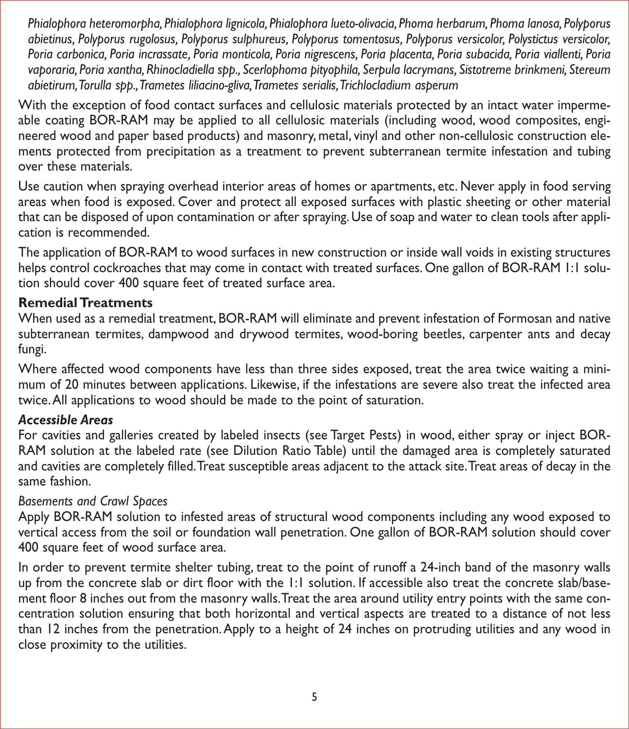*Phialophora heteromorpha, Phialophora lignicola, Phialophora lueto-olivacia, Phoma herbarum, Phoma lanosa, Polyporus abietinus, Polyporus rugolosus, Polyporus sulphureus, Polyporus tomentosus, Polyporus versicolor, Polystictus versicolor, Poria carbonica, Poria incrassate, Poria monticola, Poria nigrescens, Poria placenta, Poria subacida, Poria viallenti, Poria vaporaria, Poria xantha, Rhinocladiella spp., Scerlophoma pityophila, Serpula lacrymans, Sistotreme brinkmeni, Stereum abietirum, Torulla spp., Trametes liliacino-gliva, Trametes serialis, Trichlocladium asperum*

With the exception of food contact surfaces and cellulosic materials protected by an intact water impermeable coating BOR-RAM may be applied to all cellulosic materials (including wood, wood composites, engineered wood and paper based products) and masonry, metal, vinyl and other non-cellulosic construction elements protected from precipitation as a treatment to prevent subterranean termite infestation and tubing over these materials.

Use caution when spraying overhead interior areas of homes or apartments, etc. Never apply in food serving areas when food is exposed. Cover and protect all exposed surfaces with plastic sheeting or other material that can be disposed of upon contamination or after spraying. Use of soap and water to clean tools after application is recommended.

The application of BOR-RAM to wood surfaces in new construction or inside wall voids in existing structures helps control cockroaches that may come in contact with treated surfaces. One gallon of BOR-RAM 1:1 solution should cover 400 square feet of treated surface area.

#### **Remedial Treatments**

When used as a remedial treatment, BOR-RAM will eliminate and prevent infestation of Formosan and native subterranean termites, dampwood and drywood termites, wood-boring beetles, carpenter ants and decay fungi.

Where affected wood components have less than three sides exposed, treat the area twice waiting a minimum of 20 minutes between applications. Likewise, if the infestations are severe also treat the infected area twice. All applications to wood should be made to the point of saturation.

# *Accessible Areas*

For cavities and galleries created by labeled insects (see Target Pests) in wood, either spray or inject BOR-RAM solution at the labeled rate (see Dilution Ratio Table) until the damaged area is completely saturated and cavities are completely filled. Treat susceptible areas adjacent to the attack site. Treat areas of decay in the same fashion.

# *Basements and Crawl Spaces*

Apply BOR-RAM solution to infested areas of structural wood components including any wood exposed to vertical access from the soil or foundation wall penetration. One gallon of BOR-RAM solution should cover 400 square feet of wood surface area.

In order to prevent termite shelter tubing, treat to the point of runoff a 24-inch band of the masonry walls up from the concrete slab or dirt floor with the 1:1 solution. If accessible also treat the concrete slab/basement floor 8 inches out from the masonry walls. Treat the area around utility entry points with the same concentration solution ensuring that both horizontal and vertical aspects are treated to a distance of not less than 12 inches from the penetration. Apply to a height of 24 inches on protruding utilities and any wood in close proximity to the utilities.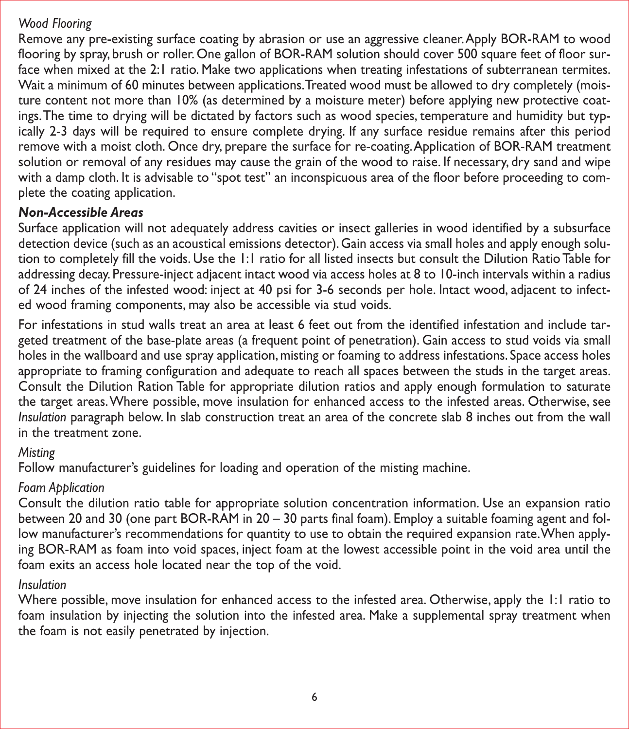#### *Wood Flooring*

Remove any pre-existing surface coating by abrasion or use an aggressive cleaner. Apply BOR-RAM to wood flooring by spray, brush or roller. One gallon of BOR-RAM solution should cover 500 square feet of floor surface when mixed at the 2:1 ratio. Make two applications when treating infestations of subterranean termites. Wait a minimum of 60 minutes between applications. Treated wood must be allowed to dry completely (moisture content not more than 10% (as determined by a moisture meter) before applying new protective coatings. The time to drying will be dictated by factors such as wood species, temperature and humidity but typically 2-3 days will be required to ensure complete drying. If any surface residue remains after this period remove with a moist cloth. Once dry, prepare the surface for re-coating. Application of BOR-RAM treatment solution or removal of any residues may cause the grain of the wood to raise. If necessary, dry sand and wipe with a damp cloth. It is advisable to "spot test" an inconspicuous area of the floor before proceeding to complete the coating application.

#### *Non-Accessible Areas*

Surface application will not adequately address cavities or insect galleries in wood identified by a subsurface detection device (such as an acoustical emissions detector). Gain access via small holes and apply enough solution to completely fill the voids. Use the 1:1 ratio for all listed insects but consult the Dilution Ratio Table for addressing decay. Pressure-inject adjacent intact wood via access holes at 8 to 10-inch intervals within a radius of 24 inches of the infested wood: inject at 40 psi for 3-6 seconds per hole. Intact wood, adjacent to infected wood framing components, may also be accessible via stud voids.

For infestations in stud walls treat an area at least 6 feet out from the identified infestation and include targeted treatment of the base-plate areas (a frequent point of penetration). Gain access to stud voids via small holes in the wallboard and use spray application, misting or foaming to address infestations. Space access holes appropriate to framing configuration and adequate to reach all spaces between the studs in the target areas. Consult the Dilution Ration Table for appropriate dilution ratios and apply enough formulation to saturate the target areas. Where possible, move insulation for enhanced access to the infested areas. Otherwise, see *Insulation* paragraph below. In slab construction treat an area of the concrete slab 8 inches out from the wall in the treatment zone.

#### *Misting*

Follow manufacturer's guidelines for loading and operation of the misting machine.

# *Foam Application*

Consult the dilution ratio table for appropriate solution concentration information. Use an expansion ratio between 20 and 30 (one part BOR-RAM in 20 – 30 parts final foam). Employ a suitable foaming agent and follow manufacturer's recommendations for quantity to use to obtain the required expansion rate. When applying BOR-RAM as foam into void spaces, inject foam at the lowest accessible point in the void area until the foam exits an access hole located near the top of the void.

#### *Insulation*

Where possible, move insulation for enhanced access to the infested area. Otherwise, apply the 1:1 ratio to foam insulation by injecting the solution into the infested area. Make a supplemental spray treatment when the foam is not easily penetrated by injection.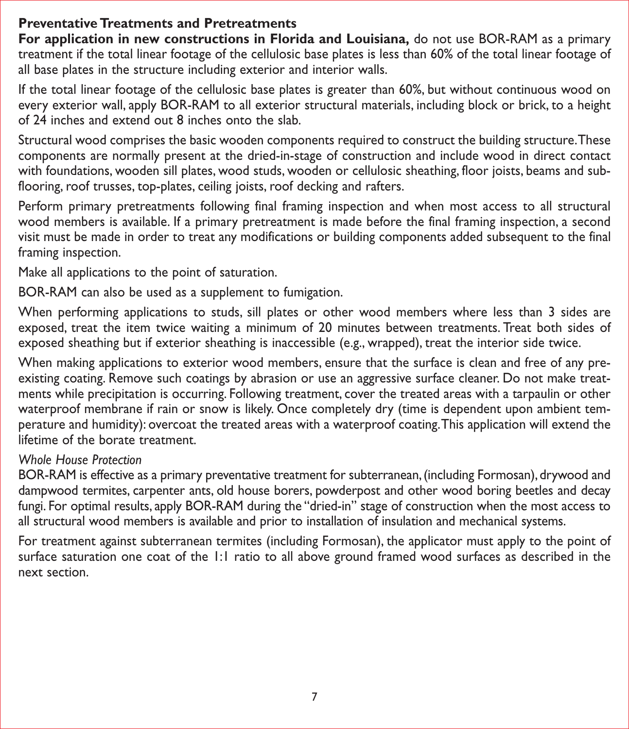# **Preventative Treatments and Pretreatments**

**For application in new constructions in Florida and Louisiana,** do not use BOR-RAM as a primary treatment if the total linear footage of the cellulosic base plates is less than 60% of the total linear footage of all base plates in the structure including exterior and interior walls.

If the total linear footage of the cellulosic base plates is greater than 60%, but without continuous wood on every exterior wall, apply BOR-RAM to all exterior structural materials, including block or brick, to a height of 24 inches and extend out 8 inches onto the slab.

Structural wood comprises the basic wooden components required to construct the building structure. These components are normally present at the dried-in-stage of construction and include wood in direct contact with foundations, wooden sill plates, wood studs, wooden or cellulosic sheathing, floor joists, beams and subflooring, roof trusses, top-plates, ceiling joists, roof decking and rafters.

Perform primary pretreatments following final framing inspection and when most access to all structural wood members is available. If a primary pretreatment is made before the final framing inspection, a second visit must be made in order to treat any modifications or building components added subsequent to the final framing inspection.

Make all applications to the point of saturation.

BOR-RAM can also be used as a supplement to fumigation.

When performing applications to studs, sill plates or other wood members where less than 3 sides are exposed, treat the item twice waiting a minimum of 20 minutes between treatments. Treat both sides of exposed sheathing but if exterior sheathing is inaccessible (e.g., wrapped), treat the interior side twice.

When making applications to exterior wood members, ensure that the surface is clean and free of any preexisting coating. Remove such coatings by abrasion or use an aggressive surface cleaner. Do not make treatments while precipitation is occurring. Following treatment, cover the treated areas with a tarpaulin or other waterproof membrane if rain or snow is likely. Once completely dry (time is dependent upon ambient temperature and humidity): overcoat the treated areas with a waterproof coating. This application will extend the lifetime of the borate treatment.

#### *Whole House Protection*

BOR-RAM is effective as a primary preventative treatment for subterranean, (including Formosan), drywood and dampwood termites, carpenter ants, old house borers, powderpost and other wood boring beetles and decay fungi. For optimal results, apply BOR-RAM during the "dried-in" stage of construction when the most access to all structural wood members is available and prior to installation of insulation and mechanical systems.

For treatment against subterranean termites (including Formosan), the applicator must apply to the point of surface saturation one coat of the 1:1 ratio to all above ground framed wood surfaces as described in the next section.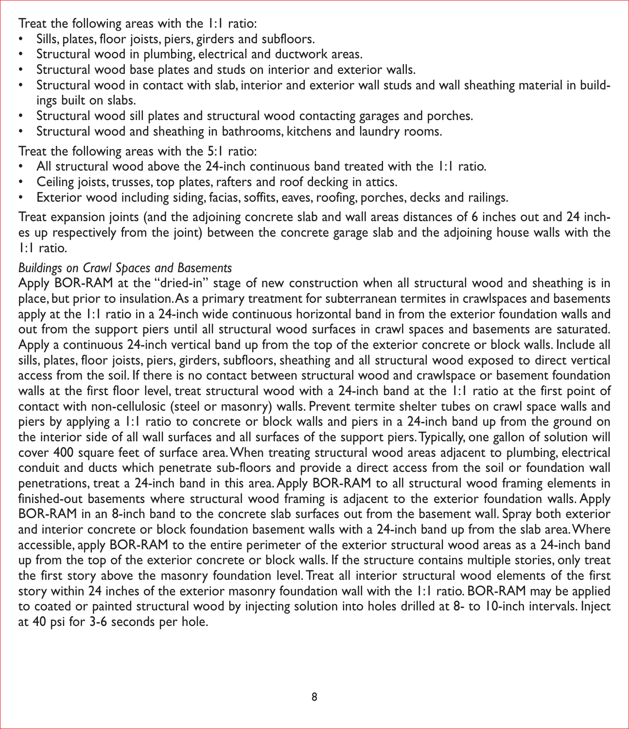Treat the following areas with the 1:1 ratio:

- Sills, plates, floor joists, piers, girders and subfloors.
- Structural wood in plumbing, electrical and ductwork areas.
- Structural wood base plates and studs on interior and exterior walls.
- Structural wood in contact with slab, interior and exterior wall studs and wall sheathing material in buildings built on slabs.
- Structural wood sill plates and structural wood contacting garages and porches.
- Structural wood and sheathing in bathrooms, kitchens and laundry rooms.

Treat the following areas with the 5:1 ratio:

- All structural wood above the 24-inch continuous band treated with the 1:1 ratio.
- Ceiling joists, trusses, top plates, rafters and roof decking in attics.
- Exterior wood including siding, facias, soffits, eaves, roofing, porches, decks and railings.

Treat expansion joints (and the adjoining concrete slab and wall areas distances of 6 inches out and 24 inches up respectively from the joint) between the concrete garage slab and the adjoining house walls with the 1:1 ratio.

# *Buildings on Crawl Spaces and Basements*

Apply BOR-RAM at the "dried-in" stage of new construction when all structural wood and sheathing is in place, but prior to insulation. As a primary treatment for subterranean termites in crawlspaces and basements apply at the 1:1 ratio in a 24-inch wide continuous horizontal band in from the exterior foundation walls and out from the support piers until all structural wood surfaces in crawl spaces and basements are saturated. Apply a continuous 24-inch vertical band up from the top of the exterior concrete or block walls. Include all sills, plates, floor joists, piers, girders, subfloors, sheathing and all structural wood exposed to direct vertical access from the soil. If there is no contact between structural wood and crawlspace or basement foundation walls at the first floor level, treat structural wood with a 24-inch band at the 1:1 ratio at the first point of contact with non-cellulosic (steel or masonry) walls. Prevent termite shelter tubes on crawl space walls and piers by applying a 1:1 ratio to concrete or block walls and piers in a 24-inch band up from the ground on the interior side of all wall surfaces and all surfaces of the support piers. Typically, one gallon of solution will cover 400 square feet of surface area. When treating structural wood areas adjacent to plumbing, electrical conduit and ducts which penetrate sub-floors and provide a direct access from the soil or foundation wall penetrations, treat a 24-inch band in this area. Apply BOR-RAM to all structural wood framing elements in finished-out basements where structural wood framing is adjacent to the exterior foundation walls. Apply BOR-RAM in an 8-inch band to the concrete slab surfaces out from the basement wall. Spray both exterior and interior concrete or block foundation basement walls with a 24-inch band up from the slab area. Where accessible, apply BOR-RAM to the entire perimeter of the exterior structural wood areas as a 24-inch band up from the top of the exterior concrete or block walls. If the structure contains multiple stories, only treat the first story above the masonry foundation level. Treat all interior structural wood elements of the first story within 24 inches of the exterior masonry foundation wall with the 1:1 ratio. BOR-RAM may be applied to coated or painted structural wood by injecting solution into holes drilled at 8- to 10-inch intervals. Inject at 40 psi for 3-6 seconds per hole.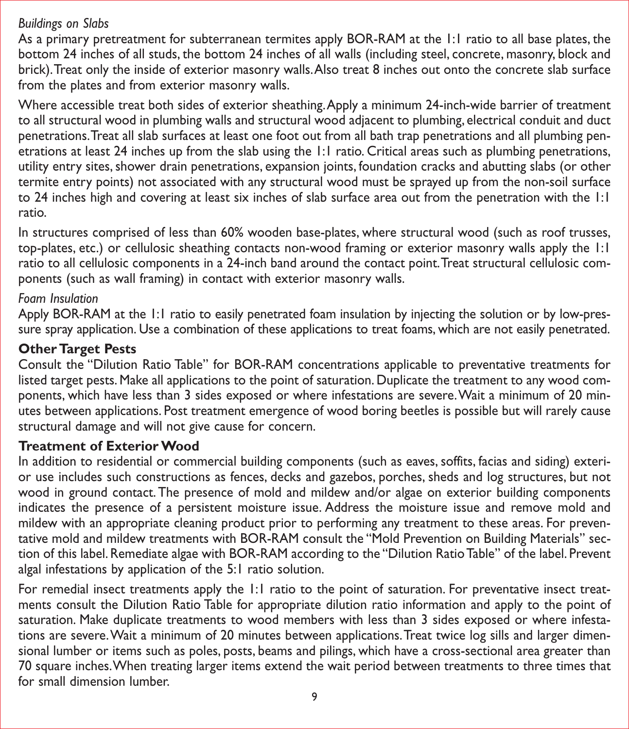#### *Buildings on Slabs*

As a primary pretreatment for subterranean termites apply BOR-RAM at the 1:1 ratio to all base plates, the bottom 24 inches of all studs, the bottom 24 inches of all walls (including steel, concrete, masonry, block and brick). Treat only the inside of exterior masonry walls. Also treat 8 inches out onto the concrete slab surface from the plates and from exterior masonry walls.

Where accessible treat both sides of exterior sheathing. Apply a minimum 24-inch-wide barrier of treatment to all structural wood in plumbing walls and structural wood adjacent to plumbing, electrical conduit and duct penetrations. Treat all slab surfaces at least one foot out from all bath trap penetrations and all plumbing penetrations at least 24 inches up from the slab using the 1:1 ratio. Critical areas such as plumbing penetrations, utility entry sites, shower drain penetrations, expansion joints, foundation cracks and abutting slabs (or other termite entry points) not associated with any structural wood must be sprayed up from the non-soil surface to 24 inches high and covering at least six inches of slab surface area out from the penetration with the 1:1 ratio.

In structures comprised of less than 60% wooden base-plates, where structural wood (such as roof trusses, top-plates, etc.) or cellulosic sheathing contacts non-wood framing or exterior masonry walls apply the 1:1 ratio to all cellulosic components in a 24-inch band around the contact point. Treat structural cellulosic components (such as wall framing) in contact with exterior masonry walls.

#### *Foam Insulation*

Apply BOR-RAM at the 1:1 ratio to easily penetrated foam insulation by injecting the solution or by low-pressure spray application. Use a combination of these applications to treat foams, which are not easily penetrated.

#### **Other Target Pests**

Consult the "Dilution Ratio Table" for BOR-RAM concentrations applicable to preventative treatments for listed target pests. Make all applications to the point of saturation. Duplicate the treatment to any wood components, which have less than 3 sides exposed or where infestations are severe. Wait a minimum of 20 minutes between applications. Post treatment emergence of wood boring beetles is possible but will rarely cause structural damage and will not give cause for concern.

#### **Treatment of Exterior Wood**

In addition to residential or commercial building components (such as eaves, soffits, facias and siding) exterior use includes such constructions as fences, decks and gazebos, porches, sheds and log structures, but not wood in ground contact. The presence of mold and mildew and/or algae on exterior building components indicates the presence of a persistent moisture issue. Address the moisture issue and remove mold and mildew with an appropriate cleaning product prior to performing any treatment to these areas. For preventative mold and mildew treatments with BOR-RAM consult the "Mold Prevention on Building Materials" section of this label. Remediate algae with BOR-RAM according to the "Dilution Ratio Table" of the label. Prevent algal infestations by application of the 5:1 ratio solution.

For remedial insect treatments apply the 1:1 ratio to the point of saturation. For preventative insect treatments consult the Dilution Ratio Table for appropriate dilution ratio information and apply to the point of saturation. Make duplicate treatments to wood members with less than 3 sides exposed or where infestations are severe. Wait a minimum of 20 minutes between applications. Treat twice log sills and larger dimensional lumber or items such as poles, posts, beams and pilings, which have a cross-sectional area greater than 70 square inches. When treating larger items extend the wait period between treatments to three times that for small dimension lumber.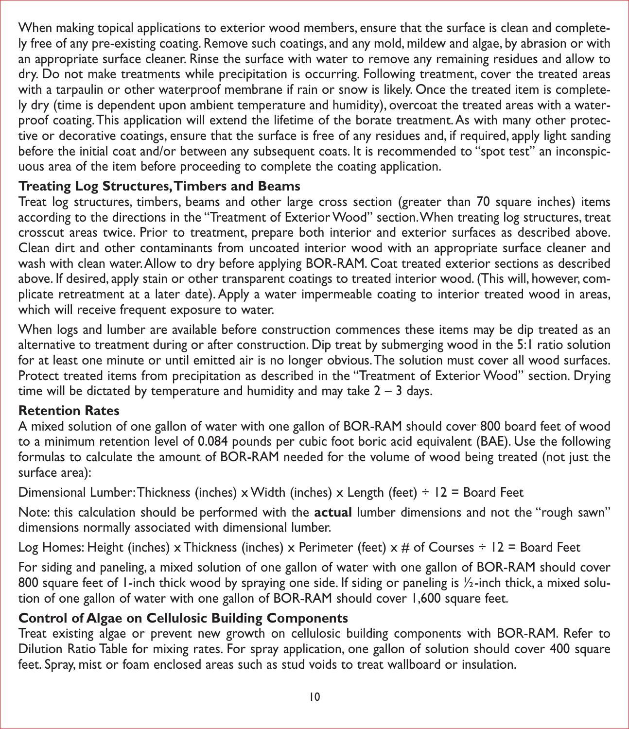When making topical applications to exterior wood members, ensure that the surface is clean and completely free of any pre-existing coating. Remove such coatings, and any mold, mildew and algae, by abrasion or with an appropriate surface cleaner. Rinse the surface with water to remove any remaining residues and allow to dry. Do not make treatments while precipitation is occurring. Following treatment, cover the treated areas with a tarpaulin or other waterproof membrane if rain or snow is likely. Once the treated item is completely dry (time is dependent upon ambient temperature and humidity), overcoat the treated areas with a waterproof coating. This application will extend the lifetime of the borate treatment. As with many other protective or decorative coatings, ensure that the surface is free of any residues and, if required, apply light sanding before the initial coat and/or between any subsequent coats. It is recommended to "spot test" an inconspicuous area of the item before proceeding to complete the coating application.

# **Treating Log Structures, Timbers and Beams**

Treat log structures, timbers, beams and other large cross section (greater than 70 square inches) items according to the directions in the "Treatment of Exterior Wood" section. When treating log structures, treat crosscut areas twice. Prior to treatment, prepare both interior and exterior surfaces as described above. Clean dirt and other contaminants from uncoated interior wood with an appropriate surface cleaner and wash with clean water. Allow to dry before applying BOR-RAM. Coat treated exterior sections as described above. If desired, apply stain or other transparent coatings to treated interior wood. (This will, however, complicate retreatment at a later date). Apply a water impermeable coating to interior treated wood in areas, which will receive frequent exposure to water.

When logs and lumber are available before construction commences these items may be dip treated as an alternative to treatment during or after construction. Dip treat by submerging wood in the 5:1 ratio solution for at least one minute or until emitted air is no longer obvious. The solution must cover all wood surfaces. Protect treated items from precipitation as described in the "Treatment of Exterior Wood" section. Drying time will be dictated by temperature and humidity and may take  $2 - 3$  days.

#### **Retention Rates**

A mixed solution of one gallon of water with one gallon of BOR-RAM should cover 800 board feet of wood to a minimum retention level of 0.084 pounds per cubic foot boric acid equivalent (BAE). Use the following formulas to calculate the amount of BOR-RAM needed for the volume of wood being treated (not just the surface area):

Dimensional Lumber: Thickness (inches) x Width (inches) x Length (feet)  $\div$  12 = Board Feet

Note: this calculation should be performed with the **actual** lumber dimensions and not the "rough sawn" dimensions normally associated with dimensional lumber.

Log Homes: Height (inches) x Thickness (inches) x Perimeter (feet) x # of Courses ÷ 12 = Board Feet

For siding and paneling, a mixed solution of one gallon of water with one gallon of BOR-RAM should cover 800 square feet of 1-inch thick wood by spraying one side. If siding or paneling is 1/2-inch thick, a mixed solution of one gallon of water with one gallon of BOR-RAM should cover 1,600 square feet.

# **Control of Algae on Cellulosic Building Components**

Treat existing algae or prevent new growth on cellulosic building components with BOR-RAM. Refer to Dilution Ratio Table for mixing rates. For spray application, one gallon of solution should cover 400 square feet. Spray, mist or foam enclosed areas such as stud voids to treat wallboard or insulation.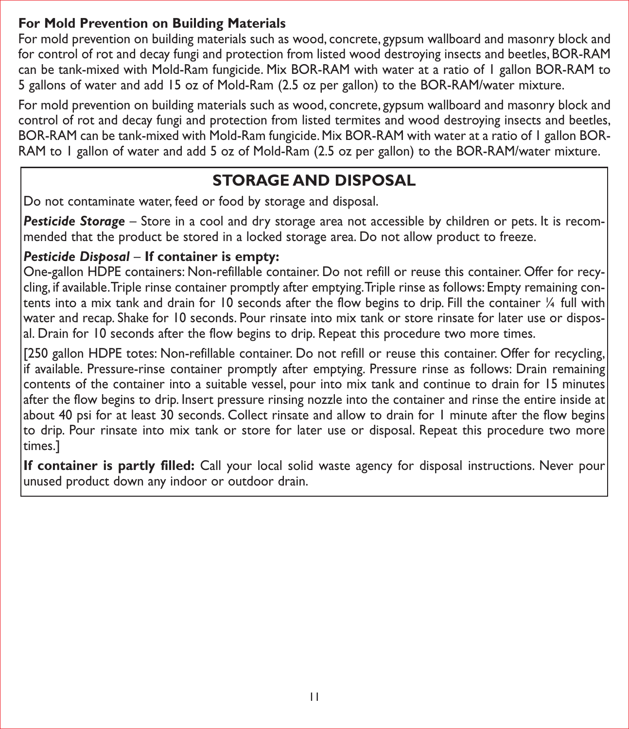# **For Mold Prevention on Building Materials**

For mold prevention on building materials such as wood, concrete, gypsum wallboard and masonry block and for control of rot and decay fungi and protection from listed wood destroying insects and beetles, BOR-RAM can be tank-mixed with Mold-Ram fungicide. Mix BOR-RAM with water at a ratio of 1 gallon BOR-RAM to 5 gallons of water and add 15 oz of Mold-Ram (2.5 oz per gallon) to the BOR-RAM/water mixture.

For mold prevention on building materials such as wood, concrete, gypsum wallboard and masonry block and control of rot and decay fungi and protection from listed termites and wood destroying insects and beetles, BOR-RAM can be tank-mixed with Mold-Ram fungicide. Mix BOR-RAM with water at a ratio of 1 gallon BOR-RAM to 1 gallon of water and add 5 oz of Mold-Ram (2.5 oz per gallon) to the BOR-RAM/water mixture.

# **STORAGE AND DISPOSAL**

Do not contaminate water, feed or food by storage and disposal.

*Pesticide Storage* – Store in a cool and dry storage area not accessible by children or pets. It is recommended that the product be stored in a locked storage area. Do not allow product to freeze.

# *Pesticide Disposal* – **If container is empty:**

One-gallon HDPE containers: Non-refillable container. Do not refill or reuse this container. Offer for recycling, if available. Triple rinse container promptly after emptying. Triple rinse as follows: Empty remaining contents into a mix tank and drain for 10 seconds after the flow begins to drip. Fill the container ¼ full with water and recap. Shake for 10 seconds. Pour rinsate into mix tank or store rinsate for later use or disposal. Drain for 10 seconds after the flow begins to drip. Repeat this procedure two more times.

[250 gallon HDPE totes: Non-refillable container. Do not refill or reuse this container. Offer for recycling, if available. Pressure-rinse container promptly after emptying. Pressure rinse as follows: Drain remaining contents of the container into a suitable vessel, pour into mix tank and continue to drain for 15 minutes after the flow begins to drip. Insert pressure rinsing nozzle into the container and rinse the entire inside at about 40 psi for at least 30 seconds. Collect rinsate and allow to drain for 1 minute after the flow begins to drip. Pour rinsate into mix tank or store for later use or disposal. Repeat this procedure two more times.]

**If container is partly filled:** Call your local solid waste agency for disposal instructions. Never pour unused product down any indoor or outdoor drain.